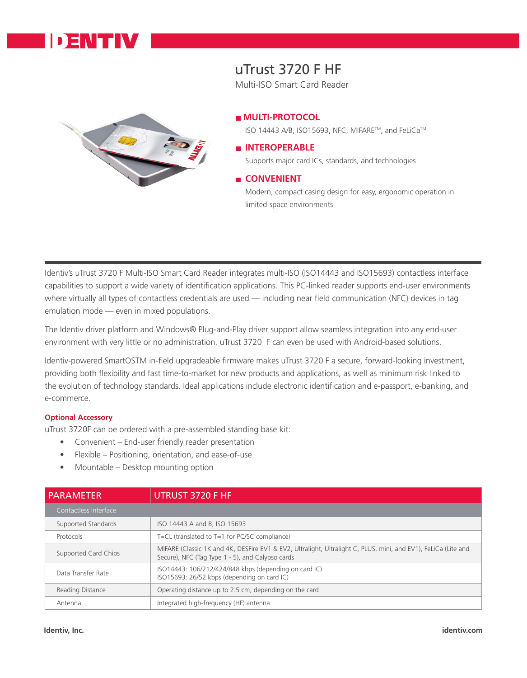

# uTrust 3720 F HF

Multi-ISO Smart Card Reader



#### **MULTI-PROTOCOL**

ISO 14443 A/B, ISO15693, NFC, MIFARE™, and FeLiCa™

### **INTEROPERABLE**

Supports major card ICs, standards, and technologies

## **E** CONVENIENT

Modern, compact casing design for easy, ergonomic operation in limited-space environments

Identiv's uTrust 3720 F Multi-ISO Smart Card Reader integrates multi-ISO (ISO14443 and ISO15693) contactless interface capabilities to support a wide variety of identification applications. This PC-linked reader supports end-user environments where virtually all types of contactless credentials are used — including near field communication (NFC) devices in tag emulation mode — even in mixed populations.

The Identiv driver platform and Windows® Plug-and-Play driver support allow seamless integration into any end-user environment with very little or no administration. uTrust 3720 F can even be used with Android-based solutions.

Identiv-powered SmartOSTM in-field upgradeable firmware makes uTrust 3720 F a secure, forward-looking investment, providing both flexibility and fast time-to-market for new products and applications, as well as minimum risk linked to the evolution of technology standards. Ideal applications include electronic identification and e-passport, e-banking, and e-commerce.

#### **Optional Accessory**

uTrust 3720F can be ordered with a pre-assembled standing base kit:

- Convenient End-user friendly reader presentation
- Flexible Positioning, orientation, and ease-of-use
- Mountable Desktop mounting option

| <b>PARAMETER</b>      | UTRUST 3720 F HF                                                                                                                                                   |
|-----------------------|--------------------------------------------------------------------------------------------------------------------------------------------------------------------|
| Contactless Interface |                                                                                                                                                                    |
| Supported Standards   | ISO 14443 A and B, ISO 15693                                                                                                                                       |
| Protocols             | T=CL (translated to $T=1$ for PC/SC compliance)                                                                                                                    |
| Supported Card Chips  | MIFARE (Classic 1K and 4K, DESFire EV1 & EV2, Ultralight, Ultralight C, PLUS, mini, and EV1), FeLiCa (Lite and<br>Secure), NFC (Tag Type 1 - 5), and Calypso cards |
| Data Transfer Rate    | ISO14443: 106/212/424/848 kbps (depending on card IC)<br>ISO15693: 26/52 kbps (depending on card IC)                                                               |
| Reading Distance      | Operating distance up to 2.5 cm, depending on the card                                                                                                             |
| Antenna               | Integrated high-frequency (HF) antenna                                                                                                                             |